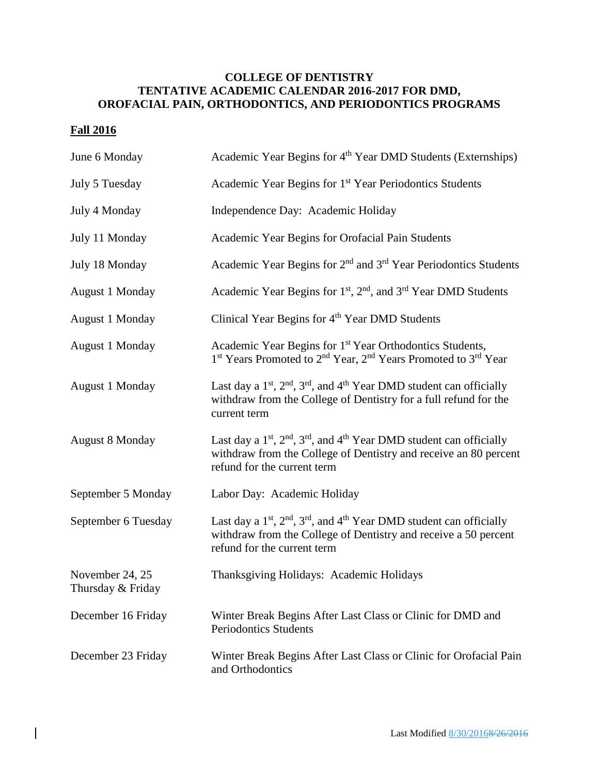## **COLLEGE OF DENTISTRY TENTATIVE ACADEMIC CALENDAR 2016-2017 FOR DMD, OROFACIAL PAIN, ORTHODONTICS, AND PERIODONTICS PROGRAMS**

## **Fall 2016**

| June 6 Monday                        | Academic Year Begins for 4 <sup>th</sup> Year DMD Students (Externships)                                                                                                                                 |
|--------------------------------------|----------------------------------------------------------------------------------------------------------------------------------------------------------------------------------------------------------|
| July 5 Tuesday                       | Academic Year Begins for 1 <sup>st</sup> Year Periodontics Students                                                                                                                                      |
| July 4 Monday                        | Independence Day: Academic Holiday                                                                                                                                                                       |
| July 11 Monday                       | Academic Year Begins for Orofacial Pain Students                                                                                                                                                         |
| July 18 Monday                       | Academic Year Begins for 2 <sup>nd</sup> and 3 <sup>rd</sup> Year Periodontics Students                                                                                                                  |
| <b>August 1 Monday</b>               | Academic Year Begins for 1 <sup>st</sup> , 2 <sup>nd</sup> , and 3 <sup>rd</sup> Year DMD Students                                                                                                       |
| <b>August 1 Monday</b>               | Clinical Year Begins for 4 <sup>th</sup> Year DMD Students                                                                                                                                               |
| August 1 Monday                      | Academic Year Begins for 1 <sup>st</sup> Year Orthodontics Students,<br>1 <sup>st</sup> Years Promoted to 2 <sup>nd</sup> Year, 2 <sup>nd</sup> Years Promoted to 3 <sup>rd</sup> Year                   |
| <b>August 1 Monday</b>               | Last day a 1 <sup>st</sup> , 2 <sup>nd</sup> , 3 <sup>rd</sup> , and 4 <sup>th</sup> Year DMD student can officially<br>withdraw from the College of Dentistry for a full refund for the<br>current term |
| <b>August 8 Monday</b>               | Last day a $1st$ , $2nd$ , $3rd$ , and $4th$ Year DMD student can officially<br>withdraw from the College of Dentistry and receive an 80 percent<br>refund for the current term                          |
| September 5 Monday                   | Labor Day: Academic Holiday                                                                                                                                                                              |
| September 6 Tuesday                  | Last day a $1st$ , $2nd$ , $3rd$ , and $4th$ Year DMD student can officially<br>withdraw from the College of Dentistry and receive a 50 percent<br>refund for the current term                           |
| November 24, 25<br>Thursday & Friday | Thanksgiving Holidays: Academic Holidays                                                                                                                                                                 |
| December 16 Friday                   | Winter Break Begins After Last Class or Clinic for DMD and<br><b>Periodontics Students</b>                                                                                                               |
| December 23 Friday                   | Winter Break Begins After Last Class or Clinic for Orofacial Pain<br>and Orthodontics                                                                                                                    |